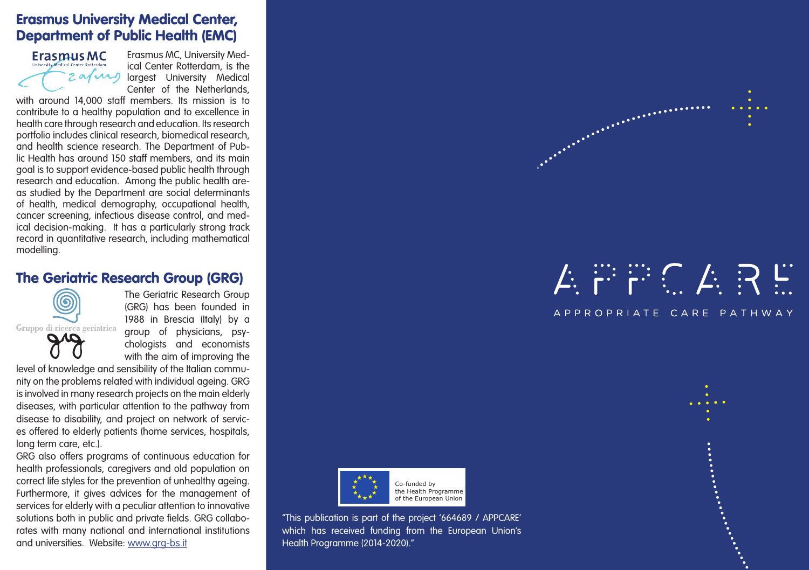## Erasmus University Medical Center, Department of Public Health (EMC)



Erasmus MC, University Medical Center Rotterdam, is the largest University Medical Center of the Netherlands,

with around 14,000 staff members. Its mission is to contribute to a healthy population and to excellence in health care through research and education. Its research portfolio includes clinical research, biomedical research, and health science research. The Department of Public Health has around 150 staff members, and its main goal is to support evidence-based public health through research and education. Among the public health areas studied by the Department are social determinants of health, medical demography, occupational health, cancer screening, infectious disease control, and medical decision-making. It has a particularly strong track record in quantitative research, including mathematical modelling.

#### The Geriatric Research Group (GRG)



The Geriatric Research Group (GRG) has been founded in 1988 in Brescia (Italy) by a group of physicians, psychologists and economists with the aim of improving the

level of knowledge and sensibility of the Italian community on the problems related with individual ageing. GRG is involved in many research projects on the main elderly diseases, with particular attention to the pathway from disease to disability, and project on network of services offered to elderly patients (home services, hospitals, long term care, etc.).

GRG also offers programs of continuous education for health professionals, caregivers and old population on correct life styles for the prevention of unhealthy ageing. Furthermore, it gives advices for the management of services for elderly with a peculiar attention to innovative solutions both in public and private fields. GRG collaborates with many national and international institutions and universities. Website: www.grg-bs.it



"This publication is part of the project '664689 / APPCARE' which has received funding from the European Union's Health Programme (2014-2020)."

# $\cancel{\mathcal{L}}$  is in the  $\cancel{\mathcal{L}}$  in  $\overset{\sim}{\mathcal{L}}$

And the property of the company of the company of the company of the company of

APPROPRIATE CARE PATHWAY